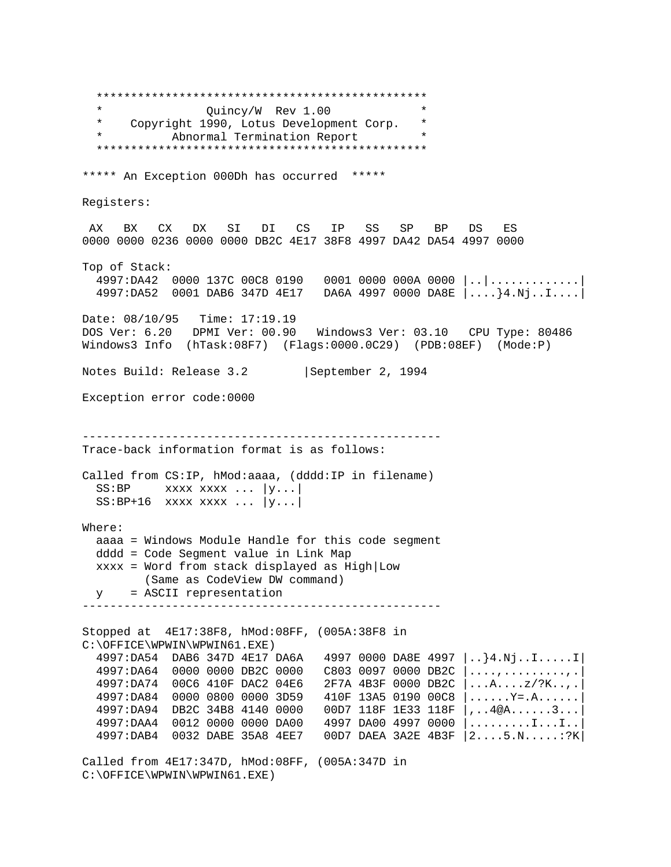\*\*\*\*\*\*\*\*\*\*\*\*\*\*\*\*\*\*\*\*\*\*\*\*\*\*\*\*\*\*\*\*\*\*\*\*\*\*\*\*\*\*\*\*\*\*\*\* \* Quincy/W Rev 1.00 \* \* Copyright 1990, Lotus Development Corp. \* Abnormal Termination Report \*\*\*\*\*\*\*\*\*\*\*\*\*\*\*\*\*\*\*\*\*\*\*\*\*\*\*\*\*\*\*\*\*\*\*\*\*\*\*\*\*\*\*\*\*\*\*\* \*\*\*\*\* An Exception 000Dh has occurred \*\*\*\*\* Registers: AX BX CX DX SI DI CS IP SS SP BP DS ES 0000 0000 0236 0000 0000 DB2C 4E17 38F8 4997 DA42 DA54 4997 0000 Top of Stack: 4997:DA42 0000 137C 00C8 0190 0001 0000 000A 0000 |..|.............| 4997:DA52 0001 DAB6 347D 4E17 DA6A 4997 0000 DA8E |....}4.Nj..I....| Date: 08/10/95 Time: 17:19.19 DOS Ver: 6.20 DPMI Ver: 00.90 Windows3 Ver: 03.10 CPU Type: 80486 Windows3 Info (hTask:08F7) (Flags:0000.0C29) (PDB:08EF) (Mode:P) Notes Build: Release 3.2 | September 2, 1994 Exception error code:0000 ---------------------------------------------------- Trace-back information format is as follows: Called from CS:IP, hMod:aaaa, (dddd:IP in filename)  $SS: BP$  xxxx xxxx ...  $|y...|$  $SS: BP+16$  xxxx xxxx ...  $|y...|$ Where: aaaa = Windows Module Handle for this code segment dddd = Code Segment value in Link Map xxxx = Word from stack displayed as High|Low (Same as CodeView DW command) y = ASCII representation ---------------------------------------------------- Stopped at 4E17:38F8, hMod:08FF, (005A:38F8 in C:\OFFICE\WPWIN\WPWIN61.EXE) 4997:DA54 DAB6 347D 4E17 DA6A 4997 0000 DA8E 4997 |..}4.Nj..I.....I| 4997:DA64 0000 0000 DB2C 0000 C803 0097 0000 DB2C |....,.........,.| 4997:DA74 00C6 410F DAC2 04E6 2F7A 4B3F 0000 DB2C |...A....z/?K..,.| 4997:DA84 0000 0800 0000 3D59 410F 13A5 0190 00C8 |......Y=.A......| 4997:DA94 DB2C 34B8 4140 0000 00D7 118F 1E33 118F |,..4@A......3...| 4997:DAA4 0012 0000 0000 DA00 4997 DA00 4997 0000 |.........I...I..| 4997:DAB4 0032 DABE 35A8 4EE7 00D7 DAEA 3A2E 4B3F |2....5.N.....:?K| Called from 4E17:347D, hMod:08FF, (005A:347D in C:\OFFICE\WPWIN\WPWIN61.EXE)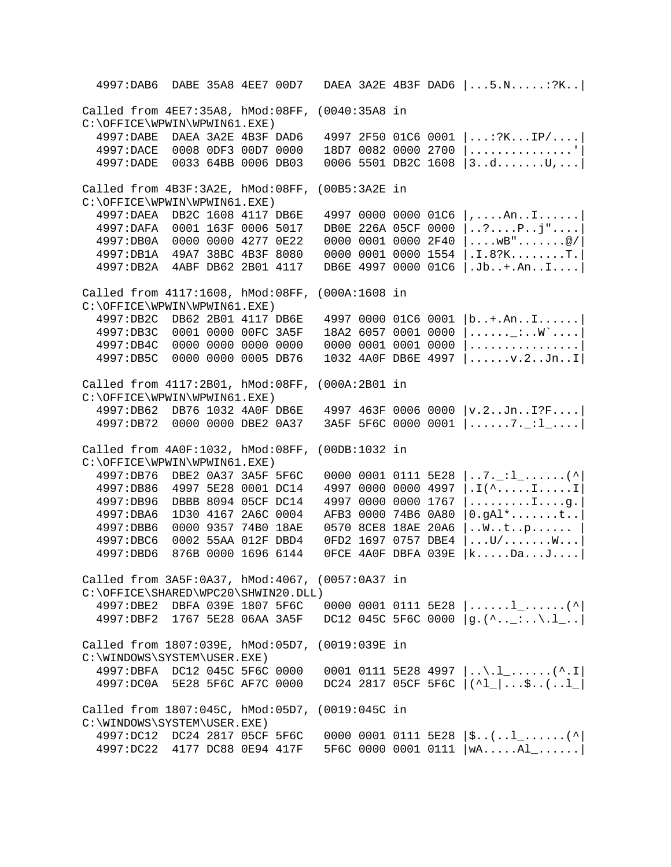4997:DAB6 DABE 35A8 4EE7 00D7 DAEA 3A2E 4B3F DAD6 |...5.N.....:?K..| Called from 4EE7:35A8, hMod:08FF, (0040:35A8 in C:\OFFICE\WPWIN\WPWIN61.EXE)<br>4997:DABE DAEA 3A2E 4B3F DAD6 4997:DABE DAEA 3A2E 4B3F DAD6 4997 2F50 01C6 0001 |...:?K...IP/....|  $18D7$  0082 0000 2700  $|$ ................. 4997:DADE 0033 64BB 0006 DB03 0006 5501 DB2C 1608 |3..d.......U,...| Called from 4B3F:3A2E, hMod:08FF, (00B5:3A2E in C:\OFFICE\WPWIN\WPWIN61.EXE)<br>4997:DAEA DB2C 1608 4117 DB6E 4997:DAEA DB2C 1608 4117 DB6E 4997 0000 0000 01C6 |,....An..I......| DB0E 226A 05CF 0000 |..?....P..j"....| 4997:DB0A 0000 0000 4277 0E22 0000 0001 0000 2F40 |....wB".......@/| 4997:DB1A 49A7 38BC 4B3F 8080 0000 0001 0000 1554 |.I.8?K........T.| 4997:DB2A 4ABF DB62 2B01 4117 DB6E 4997 0000 01C6 |.Jb..+.An..I....| Called from 4117:1608, hMod:08FF, (000A:1608 in  $C:\O$ FFICE $\W$ PWIN $\W$ PWIN61.EXE)<br>4997:DB2C DB62 2B01 4117 DB6E 4997 0000 01C6 0001 |b..+.An..I......| 4997:DB3C 0001 0000 00FC 3A5F 18A2 6057 0001 0000 |......\_:..W`....| 4997:DB4C 0000 0000 0000 0000 0000 0001 0001 0000 |................| 1032 4A0F DB6E 4997 |......v.2..Jn..I| Called from 4117:2B01, hMod:08FF, (000A:2B01 in C:\OFFICE\WPWIN\WPWIN61.EXE)<br>4997:DB62 DB76 1032 4A0F DB6E  $4997$   $463F$  0006 0000  $|v.2..Jn..I?F...|$  4997:DB72 0000 0000 DBE2 0A37 3A5F 5F6C 0000 0001 |......7.\_:l\_....| Called from 4A0F:1032, hMod:08FF, (00DB:1032 in C:\OFFICE\WPWIN\WPWIN61.EXE)<br>4997:DB76 DBE2 0A37 3A5F 5F6C 0000 0001 0111 5E28  $|..7[-1]$ .......(^ 4997:DB86 4997 5E28 0001 DC14 4997 0000 0000 4997 |.I(^.....I.....I<br>4997:DB96 DBBB 8094 05CF DC14 4997 0000 0000 1767 |........I....q. 4997:DB96 DBBB 8094 05CF DC14 4997 0000 0000 1767 |........I....g.<br>4997:DBA6 1D30 4167 2A6C 0004 AFB3 0000 74B6 0A80 |0.gAl\*.......t..  $AFB3 0000 74B6 0A80 0.9A1*.$ ......t.. 4997:DBB6 0000 9357 74B0 18AE 0570 8CE8 18AE 20A6 |..W..t..p...... | 4997:DBC6 0002 55AA 012F DBD4 0FD2 1697 0757 DBE4 |...U/.......W...| 4997:DBD6 876B 0000 1696 6144 0FCE 4A0F DBFA 039E |k.....Da...J....| Called from 3A5F:0A37, hMod:4067, (0057:0A37 in C:\OFFICE\SHARED\WPC20\SHWIN20.DLL) 4997:DBE2 DBFA 039E 1807 5F6C 0000 0001 0111 5E28  $|$ .....1\_......(^|<br>4997:DBF2 1767 5E28 06AA 3A5F DC12 045C 5F6C 0000  $|q.$ (^.. :..\.1 ..| DC12 045C 5F6C 0000  $|g.(\hat{~.}\dots\hat{~.}\dots\hat{~.}\dots]$ Called from 1807:039E, hMod:05D7, (0019:039E in C:\WINDOWS\SYSTEM\USER.EXE)<br>4997:DBFA DC12 045C 5F6C 0000 4997:DBFA DC12 045C 5F6C 0000 0001 0111 5E28 4997  $| \ldots \ldots \ldots \ldots \ldots \ldots |$ <br>4997:DC0A 5E28 5F6C AF7C 0000 DC24 2817 05CF 5F6C  $| \Delta | \ldots \Delta |$  $DC24$  2817 05CF 5F6C  $|(^1\_|...;...;...|$ Called from 1807:045C, hMod:05D7, (0019:045C in C:\WINDOWS\SYSTEM\USER.EXE) 4997:DC12 DC24 2817 05CF 5F6C 0000 0001 0111 5E28 |\$..(..l\_......(^| 4997:DC22 4177 DC88 0E94 417F 5F6C 0000 0001 0111 |wA.....Al\_......|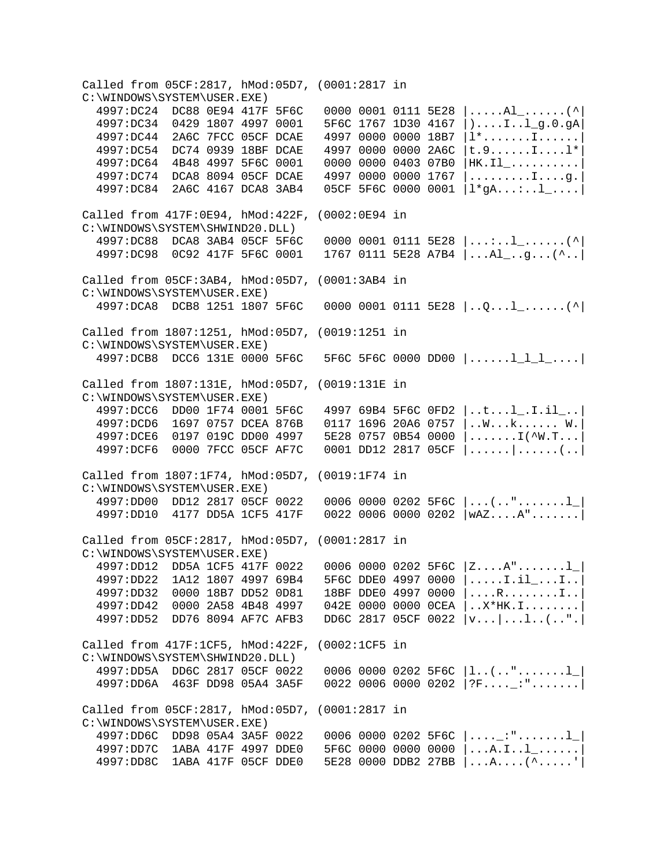Called from 05CF:2817, hMod:05D7, (0001:2817 in C:\WINDOWS\SYSTEM\USER.EXE)<br>4997:DC24 DC88 0E94 417F 5F6C  $4997:DC24$  DC88 0E94 417F 5F6C 0000 0001 0111 5E28  $|$ ....Al\_......(^  $5F6C 1767 1D30 4167$   $\dots$ ...I..l g.0.gA 4997:DC44 2A6C 7FCC 05CF DCAE 4997 0000 0000 18B7 |l\*.......I......| 4997:DC54 DC74 0939 18BF DCAE 4997 0000 0000 2A6C |t.9......I....l\*| 4997:DC64 4B48 4997 5F6C 0001 0000 0000 0403 07B0 |HK.Il\_..........| 4997:DC74 DCA8 8094 05CF DCAE 4997 0000 0000 1767 |.........I....g.| 4997:DC84 2A6C 4167 DCA8 3AB4 05CF 5F6C 0000 0001 |l\*gA...:..l\_....| Called from 417F:0E94, hMod:422F, (0002:0E94 in C:\WINDOWS\SYSTEM\SHWIND20.DLL)<br>4997:DC88 DCA8 3AB4 05CF 5F6C  $4997:DC88$  DCA8 3AB4 05CF 5F6C 0000 0001 0111 5E28  $| \ldots \ldots \ldots \ldots \cdot \rangle$ <br> $4997:DC98$  0C92 417F 5F6C 0001 1767 0111 5E28 A7B4  $| \ldots$ Al .q...(^.. 1767 0111 5E28 A7B4  $|...$ Al $...$ g...(^.. Called from 05CF:3AB4, hMod:05D7, (0001:3AB4 in C:\WINDOWS\SYSTEM\USER.EXE) 4997:DCA8 DCB8 1251 1807 5F6C 0000 0001 0111 5E28 |..Q...l\_......(^| Called from 1807:1251, hMod:05D7, (0019:1251 in C:\WINDOWS\SYSTEM\USER.EXE) 4997:DCB8 DCC6 131E 0000 5F6C 5F6C 5F6C 0000 DD00 |......l\_l\_l\_....| Called from 1807:131E, hMod:05D7, (0019:131E in C:\WINDOWS\SYSTEM\USER.EXE)<br>4997:DCC6 DD00 1F74 0001 5F6C 4997 69B4 5F6C 0FD2 |..t...l .I.il ..| 4997:DCD6 1697 0757 DCEA 876B 0117 1696 20A6 0757 |..W...k...... W.| 4997:DCE6 0197 019C DD00 4997 5E28 0757 0B54 0000 |.......I(^W.T...| 4997:DCF6 0000 7FCC 05CF AF7C 0001 DD12 2817 05CF |......|......(..| Called from 1807:1F74, hMod:05D7, (0019:1F74 in C:\WINDOWS\SYSTEM\USER.EXE)<br>4997:DD00 DD12 2817 05CF 0022  $0006$  0000 0202 5F6C  $|...$ (..".......1 | 4997:DD10 4177 DD5A 1CF5 417F 0022 0006 0000 0202 |wAZ....A".......| Called from 05CF:2817, hMod:05D7, (0001:2817 in C:\WINDOWS\SYSTEM\USER.EXE)<br>4997:DD12 DD5A 1CF5 417F 0022 4997:DD12 DD5A 1CF5 417F 0022 0006 0000 0202 5F6C  $|Z...A"....1|$ <br>4997:DD22 1A12 1807 4997 69B4 5F6C DDE0 4997 0000  $|...1i1...1..|$  $4997:DD22$  1A12 1807 4997 69B4 5F6C DDE0 4997 0000  $|$ ....I.il\_...I..<br> $4997:DD32$  0000 18B7 DD52 0D81 18BF DDE0 4997 0000  $|$ ...R.......I.. 18BF DDE0 4997 0000 |....R........I.. 4997:DD42 0000 2A58 4B48 4997 042E 0000 0000 0CEA |..X\*HK.I........| 4997:DD52 DD76 8094 AF7C AFB3 DD6C 2817 05CF 0022 |v...|...l..(..".| Called from 417F:1CF5, hMod:422F, (0002:1CF5 in C:\WINDOWS\SYSTEM\SHWIND20.DLL)<br>4997:DD5A DD6C 2817 05CF 0022 4997:DD5A DD6C 2817 05CF 0022 0006 0000 0202 5F6C  $|1..(.."......!|$ <br>4997:DD6A 463F DD98 05A4 3A5F 0022 0006 0000 0202 |?F....\_:".......  $0022$  0006 0000 0202 |?F....\_:".......| Called from 05CF:2817, hMod:05D7, (0001:2817 in C:\WINDOWS\SYSTEM\USER.EXE)<br>4997:DD6C DD98 05A4 3A5F 0022  $0006$  0000 0202 5F6C  $|...$ :".......1 | 4997:DD7C 1ABA 417F 4997 DDE0 5F6C 0000 0000 0000 |...A.I..l\_......| 4997:DD8C 1ABA 417F 05CF DDE0 5E28 0000 DDB2 27BB |...A....(^.....'|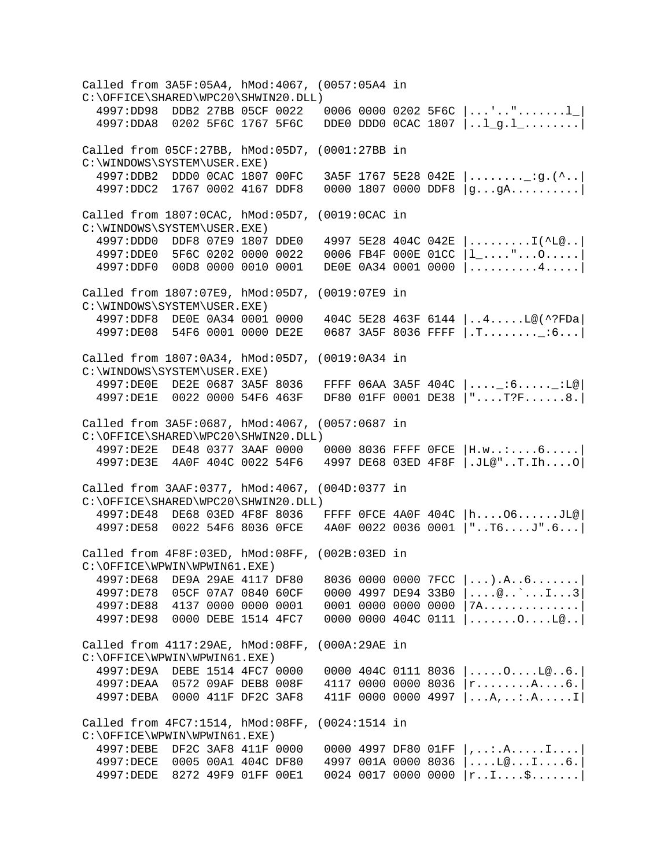Called from 3A5F:05A4, hMod:4067, (0057:05A4 in C:\OFFICE\SHARED\WPC20\SHWIN20.DLL)<br>4997:DD98 DDB2 27BB 05CF 0022 0006 0000 0202 5F6C  $|...!\dots......!|$  $4997:$ DDA8 0202 5F6C 1767 5F6C DDE0 DDD0 0CAC 1807  $|...1\_g.1\_.........|$ Called from 05CF:27BB, hMod:05D7, (0001:27BB in C:\WINDOWS\SYSTEM\USER.EXE)<br>4997:DDB2 DDD0 0CAC 1807 00FC  $3A5F$  1767 5E28 042E  $|.........$  : q.(^.. 4997:DDC2 1767 0002 4167 DDF8 0000 1807 0000 DDF8 |g...gA..........| Called from 1807:0CAC, hMod:05D7, (0019:0CAC in C:\WINDOWS\SYSTEM\USER.EXE)<br>4997:DDD0 DDF8 07E9 1807 DDE0 4997 5E28 404C 042E |.........I(^L@..| 4997:DDE0 5F6C 0202 0000 0022 0006 FB4F 000E 01CC |l\_...."...O.....| 4997:DDF0 00D8 0000 0010 0001 DE0E 0A34 0001 0000 |..........4.....| Called from 1807:07E9, hMod:05D7, (0019:07E9 in C:\WINDOWS\SYSTEM\USER.EXE)<br>4997:DDF8 DE0E 0A34 0001 0000 404C 5E28 463F 6144 |..4.....L@(^?FDa| 4997:DE08 54F6 0001 0000 DE2E 0687 3A5F 8036 FFFF |.T........\_:6...| Called from 1807:0A34, hMod:05D7, (0019:0A34 in C:\WINDOWS\SYSTEM\USER.EXE)<br>4997:DE0E DE2E 0687 3A5F 8036  $FFFF 06AA 3A5F 404C |...[-16...1]{.}L@$  4997:DE1E 0022 0000 54F6 463F DF80 01FF 0001 DE38 |"....T?F......8.| Called from 3A5F:0687, hMod:4067, (0057:0687 in C:\OFFICE\SHARED\WPC20\SHWIN20.DLL)<br>4997:DE2E DE48 0377 3AAF 0000  $000008036$  FFFF  $0$ FCE  $|$  H.w..:....6..... 4997:DE3E 4A0F 404C 0022 54F6 4997 DE68 03ED 4F8F |.JL@"..T.Ih....O| Called from 3AAF:0377, hMod:4067, (004D:0377 in C:\OFFICE\SHARED\WPC20\SHWIN20.DLL) 4997:DE48 DE68 03ED 4F8F 8036 FFFF 0FCE 4A0F 404C |h....O6......JL@| 4997:DE58 0022 54F6 8036 0FCE 4A0F 0022 0036 0001 |"..T6....J".6...| Called from 4F8F:03ED, hMod:08FF, (002B:03ED in C:\OFFICE\WPWIN\WPWIN61.EXE)<br>4997:DE68 DE9A 29AE 4117 DF80  $803600000007$  FCC  $|...).$ A..6...... 4997:DE78 05CF 07A7 0840 60CF 0000 4997 DE94 33B0 |....@..`...I...3|  $0001$  0000 0000 0000 |7A.............. 4997:DE98 0000 DEBE 1514 4FC7 0000 0000 404C 0111 |.......O....L@..| Called from 4117:29AE, hMod:08FF, (000A:29AE in C:\OFFICE\WPWIN\WPWIN61.EXE)<br>4997:DE9A DEBE 1514 4FC7 0000  $0000 404C 0111 8036$   $\dots$ ....O....L@..6. 4997:DEAA 0572 09AF DEB8 008F 4117 0000 0000 8036 |r........A....6.| 4997:DEBA 0000 411F DF2C 3AF8 411F 0000 0000 4997 |...A,..:.A.....I| Called from 4FC7:1514, hMod:08FF, (0024:1514 in C:\OFFICE\WPWIN\WPWIN61.EXE) 4997:DEBE DF2C 3AF8 411F 0000 0000 4997 DF80 01FF |,..:.A.....I....| 4997:DECE 0005 00A1 404C DF80 4997 001A 0000 8036 |....L@...I....6.| 4997:DEDE 8272 49F9 01FF 00E1 0024 0017 0000 0000 |r..I....\$.......|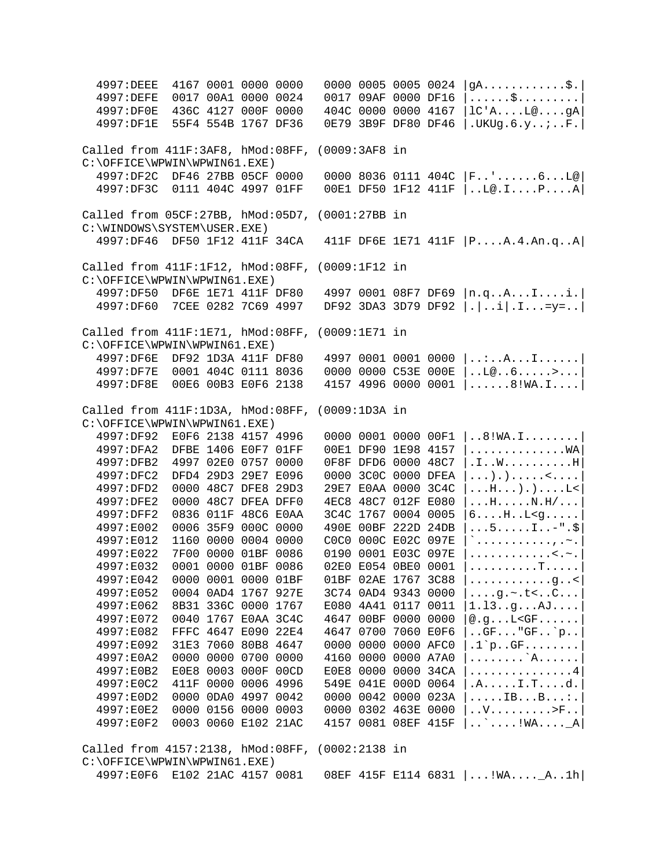| 4997: DEEE                              |                     | 4167 0001 0000 0000 |  |                 | 0000 0005 0005 0024 |      | $gA$ $\frac{1}{2}$ .                                                                |
|-----------------------------------------|---------------------|---------------------|--|-----------------|---------------------|------|-------------------------------------------------------------------------------------|
| 4997: DEFE                              |                     | 0017 00A1 0000 0024 |  |                 | 0017 09AF 0000 DF16 |      | $\ldots \ldots$ \$                                                                  |
| 4997:DF0E                               |                     | 436C 4127 000F 0000 |  |                 | 404C 0000 0000 4167 |      | $lc'A$ $La$ $gA$                                                                    |
| 4997:DF1E                               |                     | 55F4 554B 1767 DF36 |  |                 | 0E79 3B9F DF80 DF46 |      | .UKUg.6.yiF.                                                                        |
|                                         |                     |                     |  |                 |                     |      |                                                                                     |
| Called from 411F:3AF8, hMod:08FF,       |                     |                     |  | (0009:3AF8 in   |                     |      |                                                                                     |
| C:\OFFICE\WPWIN\WPWIN61.EXE)            |                     |                     |  |                 |                     |      |                                                                                     |
| 4997:DF2C DF46 27BB 05CF 0000           |                     |                     |  |                 |                     |      | 0000 8036 0111 404C $ F_{\cdot}, \cdot, \cdot, \cdot, 6 \cdot \cdot L\omega $       |
| 4997:DF3C 0111 404C 4997 01FF           |                     |                     |  |                 |                     |      | 00E1 DF50 1F12 411F   L@.IPA                                                        |
|                                         |                     |                     |  |                 |                     |      |                                                                                     |
| Called from 05CF:27BB, hMod:05D7,       |                     |                     |  | (0001:27BB in   |                     |      |                                                                                     |
| C:\WINDOWS\SYSTEM\USER.EXE)             |                     |                     |  |                 |                     |      |                                                                                     |
| 4997:DF46 DF50 1F12 411F 34CA           |                     |                     |  |                 |                     |      | 411F DF6E 1E71 411F   PA.4.An.qA                                                    |
|                                         |                     |                     |  |                 |                     |      |                                                                                     |
| Called from 411F:1F12, hMod:08FF,       |                     |                     |  | $(0009:1F12$ in |                     |      |                                                                                     |
| C:\OFFICE\WPWIN\WPWIN61.EXE)            |                     |                     |  |                 |                     |      |                                                                                     |
| 4997:DF50                               |                     | DF6E 1E71 411F DF80 |  |                 | 4997 0001 08F7 DF69 |      | n.qAIi.                                                                             |
| 4997:DF60                               | 7CEE 0282 7C69 4997 |                     |  |                 | DF92 3DA3 3D79 DF92 |      | $  \cdot   \cdot \cdot i   \cdot I \cdot \cdot \cdot = y = \cdot  $                 |
|                                         |                     |                     |  |                 |                     |      |                                                                                     |
| Called from 411F:1E71, hMod:08FF,       |                     |                     |  |                 |                     |      |                                                                                     |
|                                         |                     |                     |  | $(0009:1E71$ in |                     |      |                                                                                     |
| C:\OFFICE\WPWIN\WPWIN61.EXE)            |                     |                     |  |                 |                     |      |                                                                                     |
| 4997:DF6E                               |                     | DF92 1D3A 411F DF80 |  |                 | 4997 0001 0001 0000 |      | $ \ldots A \ldots I \ldots I  $                                                     |
| 4997:DF7E                               |                     | 0001 404C 0111 8036 |  |                 | 0000 0000 C53E 000E |      | 1.1006                                                                              |
| 4997:DF8E                               |                     | 00E6 00B3 E0F6 2138 |  |                 | 4157 4996 0000 0001 |      | $ \ldots \ldots 8! \text{WA}.\text{I} \ldots $                                      |
|                                         |                     |                     |  |                 |                     |      |                                                                                     |
| Called from 411F:1D3A, hMod:08FF,       |                     |                     |  | (0009:1D3A in   |                     |      |                                                                                     |
| C:\OFFICE\WPWIN\WPWIN61.EXE)            |                     |                     |  |                 |                     |      |                                                                                     |
| 4997:DF92                               |                     | E0F6 2138 4157 4996 |  |                 | 0000 0001 0000 00F1 |      | $\ldots 8! \text{WA}.$ I                                                            |
| 4997:DFA2                               |                     | DFBE 1406 E0F7 01FF |  |                 | 00E1 DF90 1E98 4157 |      | . WA                                                                                |
| 4997:DFB2                               |                     | 4997 02E0 0757 0000 |  |                 | 0F8F DFD6 0000 48C7 |      | $.1.001$ H                                                                          |
| 4997:DFC2                               |                     | DFD4 29D3 29E7 E096 |  |                 | 0000 3C0C 0000 DFEA |      | $\ldots$                                                                            |
| 4997:DFD2                               |                     | 0000 48C7 DFE8 29D3 |  |                 | 29E7 E0AA 0000 3C4C |      | $\dots$ H $\dots$ ).)L<                                                             |
| 4997:DFE2                               |                     | 0000 48C7 DFEA DFF0 |  |                 | 4EC8 48C7 012F E080 |      | $\dots$ H $\dots$ $N.H/\dots$                                                       |
| 4997:DFF2                               |                     | 0836 011F 48C6 E0AA |  |                 | 3C4C 1767 0004 0005 |      | $6 \ldots$ H. $L < g \ldots$ .                                                      |
| 4997:E002                               |                     | 0006 35F9 000C 0000 |  |                 | 490E 00BF 222D 24DB |      | $\dots$ 5. $\dots$ . $1 \dots$ - " $\cdot$ \$                                       |
| 4997:E012                               |                     | 1160 0000 0004 0000 |  |                 | COCO 000C E02C 097E |      | $\left. \stackrel{\scriptstyle >}{\scriptstyle \sim}$ , . $\sim$ . $\left. \right $ |
| 4997:E022                               |                     | 7F00 0000 01BF 0086 |  |                 | 0190 0001 E03C 097E |      | . < . ~ .                                                                           |
| 4997:E032                               |                     | 0001 0000 01BF 0086 |  |                 | 02E0 E054 0BE0 0001 |      | . T                                                                                 |
| 4997:E042                               |                     | 0000 0001 0000 01BF |  |                 | 01BF 02AE 1767 3C88 |      | .g. . <                                                                             |
| 4997:E052                               |                     | 0004 0AD4 1767 927E |  |                 | 3C74 0AD4 9343      | 0000 | $\ldots$ .g.~.t< $C \ldots$                                                         |
| 4997:E062                               |                     | 8B31 336C 0000 1767 |  |                 | E080 4A41 0117 0011 |      | 1.13. .9. AJ.                                                                       |
| 4997:E072                               |                     | 0040 1767 E0AA 3C4C |  |                 | 4647 00BF 0000 0000 |      | @.gL < F                                                                            |
| 4997:E082                               |                     | FFFC 4647 E090 22E4 |  |                 | 4647 0700 7060 E0F6 |      | .GF''GF`p                                                                           |
|                                         |                     | 31E3 7060 80B8 4647 |  |                 | 0000 0000 0000 AFC0 |      | $.1$ `pGF                                                                           |
| 4997:E092                               |                     |                     |  |                 |                     |      |                                                                                     |
| 4997:E0A2                               |                     | 0000 0000 0700 0000 |  |                 | 4160 0000 0000 A7A0 |      | . `A.                                                                               |
| 4997:E0B2                               |                     | E0E8 0003 000F 00CD |  |                 | E0E8 0000 0000 34CA |      | . 4                                                                                 |
| 4997:E0C2                               |                     | 411F 0000 0006 4996 |  |                 | 549E 041E 000D 0064 |      | $.A. \ldots I.Td.$                                                                  |
| 4997:E0D2                               |                     | 0000 0DA0 4997 0042 |  |                 | 0000 0042 0000 023A |      | $\ldots$ . IB. $\ldots$ B. $\ldots$ :                                               |
| 4997:E0E2                               |                     | 0000 0156 0000 0003 |  |                 | 0000 0302 463E 0000 |      | $\ldots V \ldots \ldots \ldots > F \ldots$                                          |
| 4997:E0F2                               |                     | 0003 0060 E102 21AC |  |                 | 4157 0081 08EF 415F |      | $\ldots$ $\ldots$ : WA. $\ldots$ $\Box$ A                                           |
|                                         |                     |                     |  |                 |                     |      |                                                                                     |
| Called from 4157:2138, hMod:08FF,       |                     |                     |  | (0002:2138 in   |                     |      |                                                                                     |
| $C:\O$ FFICE $\W$ PWIN $\W$ PWIN61.EXE) |                     |                     |  |                 |                     |      |                                                                                     |
| 4997:E0F6 E102 21AC 4157 0081           |                     |                     |  |                 |                     |      | 08EF 415F E114 6831   !WA_A1h                                                       |